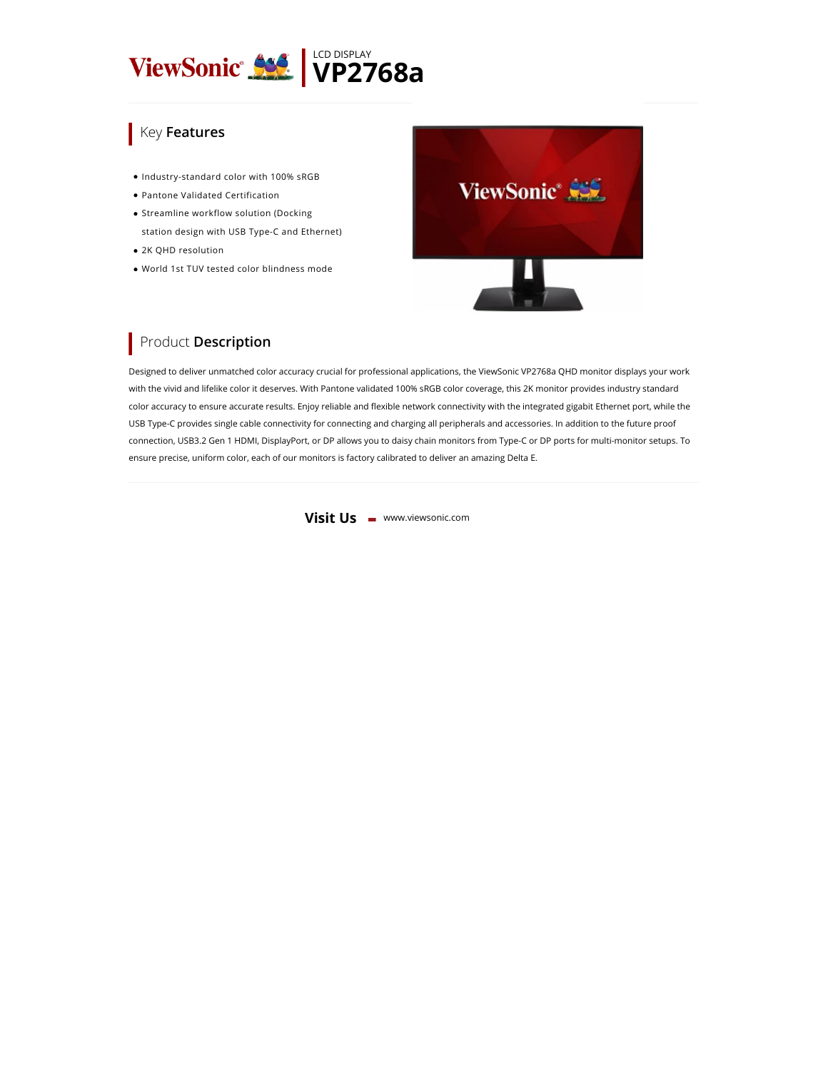

## **Key Features**

- $\bullet$  Industry-standard color with 100% sRGB
- Pantone Validated Certification
- **Streamline workflow solution (Docking** station design with USB Type-C and Ethernet)
- 2K QHD resolution
- World 1st TUV tested color blindness mode



## **Product Description**

Designed to deliver unmatched color accuracy crucial for professional applications, the ViewSonic VP2768a QHD monitor displays your work with the vivid and lifelike color it deserves. With Pantone validated 100% sRGB color coverage, this 2K monitor provides industry standard color accuracy to ensure accurate results. Enjoy reliable and flexible network connectivity with the integrated gigabit Ethernet port, while the USB Type-C provides single cable connectivity for connecting and charging all peripherals and accessories. In addition to the future proof connection, USB3.2 Gen 1 HDMI, DisplayPort, or DP allows you to daisy chain monitors from Type-C or DP ports for multi-monitor setups. To ensure precise, uniform color, each of our monitors is factory calibrated to deliver an amazing Delta E.